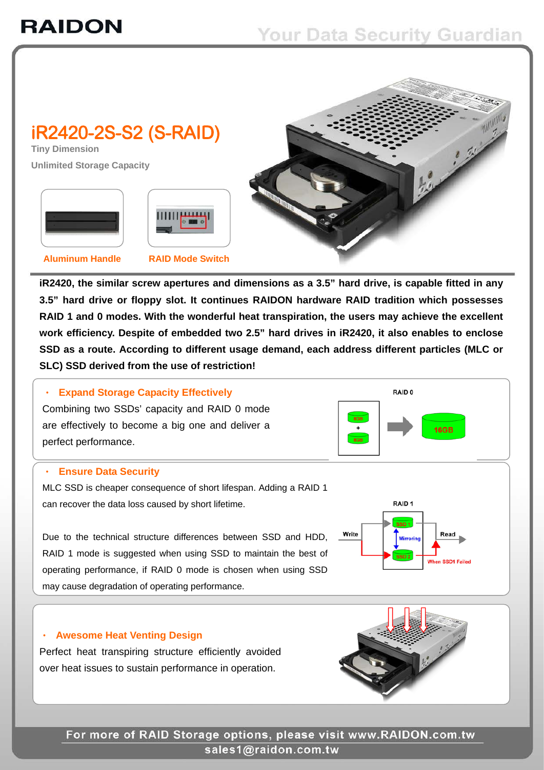

**iR2420, the similar screw apertures and dimensions as a 3.5" hard drive, is capable fitted in any 3.5" hard drive or floppy slot. It continues RAIDON hardware RAID tradition which possesses RAID 1 and 0 modes. With the wonderful heat transpiration, the users may achieve the excellent work efficiency. Despite of embedded two 2.5" hard drives in iR2420, it also enables to enclose SSD as a route. According to different usage demand, each address different particles (MLC or SLC) SSD derived from the use of restriction!**

## ‧ **Expand Storage Capacity Effectively**

 Combining two SSDs' capacity and RAID 0 mode  are effectively to become a big one and deliver a  perfect performance.



 MLC SSD is cheaper consequence of short lifespan. Adding a RAID 1  can recover the data loss caused by short lifetime.

Due to the technical structure differences between SSD and HDD, RAID 1 mode is suggested when using SSD to maintain the best of operating performance, if RAID 0 mode is chosen when using SSD may cause degradation of operating performance.

## **Awesome Heat Venting Design**

Perfect heat transpiring structure efficiently avoided over heat issues to sustain performance in operation.



RAID<sub>0</sub>

RAID<sub>1</sub>

16GB

 $RGR$  $\pmb{\mathbf{+}}$ 

 $rac{1}{2}$ 



For more of RAID Storage options, please visit www.RAIDON.com.tw sales1@raidon.com.tw